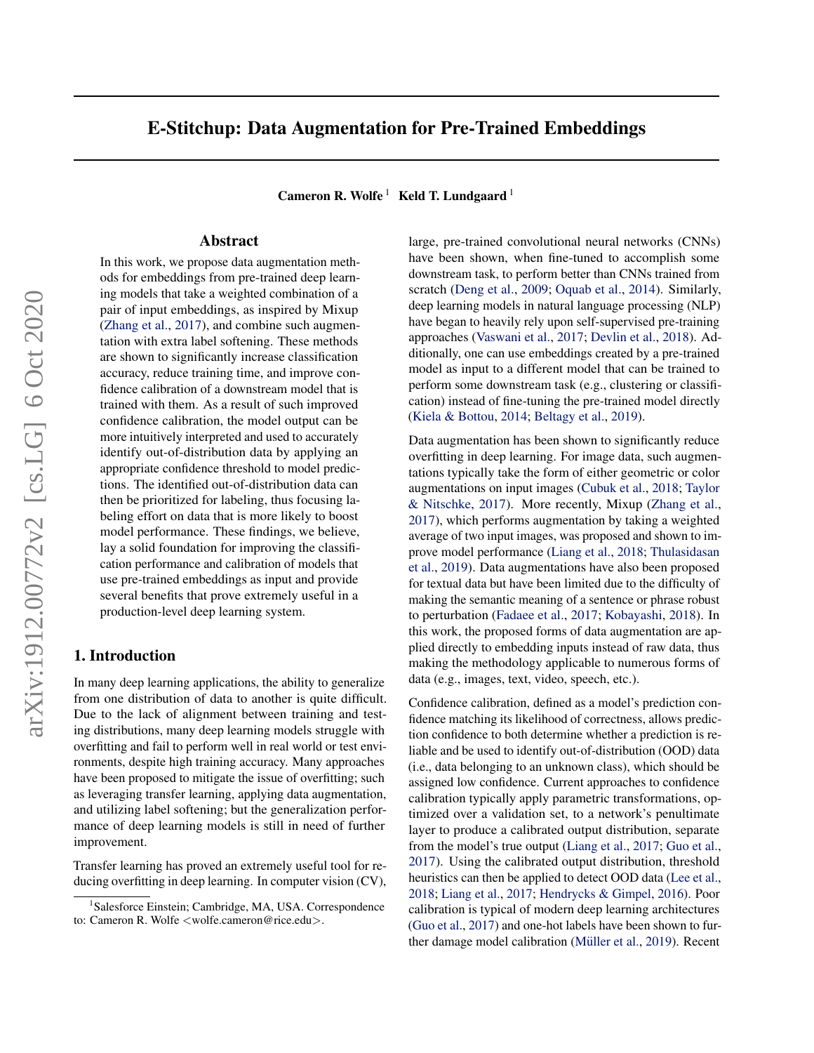# E-Stitchup: Data Augmentation for Pre-Trained Embeddings

Cameron R. Wolfe<sup>1</sup> Keld T. Lundgaard<sup>1</sup>

# Abstract

In this work, we propose data augmentation methods for embeddings from pre-trained deep learning models that take a weighted combination of a pair of input embeddings, as inspired by Mixup [\(Zhang et al.,](#page-9-0) [2017\)](#page-9-0), and combine such augmentation with extra label softening. These methods are shown to significantly increase classification accuracy, reduce training time, and improve confidence calibration of a downstream model that is trained with them. As a result of such improved confidence calibration, the model output can be more intuitively interpreted and used to accurately identify out-of-distribution data by applying an appropriate confidence threshold to model predictions. The identified out-of-distribution data can then be prioritized for labeling, thus focusing labeling effort on data that is more likely to boost model performance. These findings, we believe, lay a solid foundation for improving the classification performance and calibration of models that use pre-trained embeddings as input and provide several benefits that prove extremely useful in a production-level deep learning system.

# 1. Introduction

In many deep learning applications, the ability to generalize from one distribution of data to another is quite difficult. Due to the lack of alignment between training and testing distributions, many deep learning models struggle with overfitting and fail to perform well in real world or test environments, despite high training accuracy. Many approaches have been proposed to mitigate the issue of overfitting; such as leveraging transfer learning, applying data augmentation, and utilizing label softening; but the generalization performance of deep learning models is still in need of further improvement.

Transfer learning has proved an extremely useful tool for reducing overfitting in deep learning. In computer vision (CV), large, pre-trained convolutional neural networks (CNNs) have been shown, when fine-tuned to accomplish some downstream task, to perform better than CNNs trained from scratch [\(Deng et al.,](#page-8-0) [2009;](#page-8-0) [Oquab et al.,](#page-8-0) [2014\)](#page-8-0). Similarly, deep learning models in natural language processing (NLP) have began to heavily rely upon self-supervised pre-training approaches [\(Vaswani et al.,](#page-9-0) [2017;](#page-9-0) [Devlin et al.,](#page-8-0) [2018\)](#page-8-0). Additionally, one can use embeddings created by a pre-trained model as input to a different model that can be trained to perform some downstream task (e.g., clustering or classification) instead of fine-tuning the pre-trained model directly [\(Kiela & Bottou,](#page-8-0) [2014;](#page-8-0) [Beltagy et al.,](#page-8-0) [2019\)](#page-8-0).

Data augmentation has been shown to significantly reduce overfitting in deep learning. For image data, such augmentations typically take the form of either geometric or color augmentations on input images [\(Cubuk et al.,](#page-8-0) [2018;](#page-8-0) [Taylor](#page-8-0) [& Nitschke,](#page-8-0) [2017\)](#page-8-0). More recently, Mixup [\(Zhang et al.,](#page-9-0) [2017\)](#page-9-0), which performs augmentation by taking a weighted average of two input images, was proposed and shown to improve model performance [\(Liang et al.,](#page-8-0) [2018;](#page-8-0) [Thulasidasan](#page-9-0) [et al.,](#page-9-0) [2019\)](#page-9-0). Data augmentations have also been proposed for textual data but have been limited due to the difficulty of making the semantic meaning of a sentence or phrase robust to perturbation [\(Fadaee et al.,](#page-8-0) [2017;](#page-8-0) [Kobayashi,](#page-8-0) [2018\)](#page-8-0). In this work, the proposed forms of data augmentation are applied directly to embedding inputs instead of raw data, thus making the methodology applicable to numerous forms of data (e.g., images, text, video, speech, etc.).

Confidence calibration, defined as a model's prediction confidence matching its likelihood of correctness, allows prediction confidence to both determine whether a prediction is reliable and be used to identify out-of-distribution (OOD) data (i.e., data belonging to an unknown class), which should be assigned low confidence. Current approaches to confidence calibration typically apply parametric transformations, optimized over a validation set, to a network's penultimate layer to produce a calibrated output distribution, separate from the model's true output [\(Liang et al.,](#page-8-0) [2017;](#page-8-0) [Guo et al.,](#page-8-0) [2017\)](#page-8-0). Using the calibrated output distribution, threshold heuristics can then be applied to detect OOD data [\(Lee et al.,](#page-8-0) [2018;](#page-8-0) [Liang et al.,](#page-8-0) [2017;](#page-8-0) [Hendrycks & Gimpel,](#page-8-0) [2016\)](#page-8-0). Poor calibration is typical of modern deep learning architectures [\(Guo et al.,](#page-8-0) [2017\)](#page-8-0) and one-hot labels have been shown to fur-ther damage model calibration (Müller et al., [2019\)](#page-8-0). Recent

<sup>&</sup>lt;sup>1</sup>Salesforce Einstein; Cambridge, MA, USA. Correspondence to: Cameron R. Wolfe <wolfe.cameron@rice.edu>.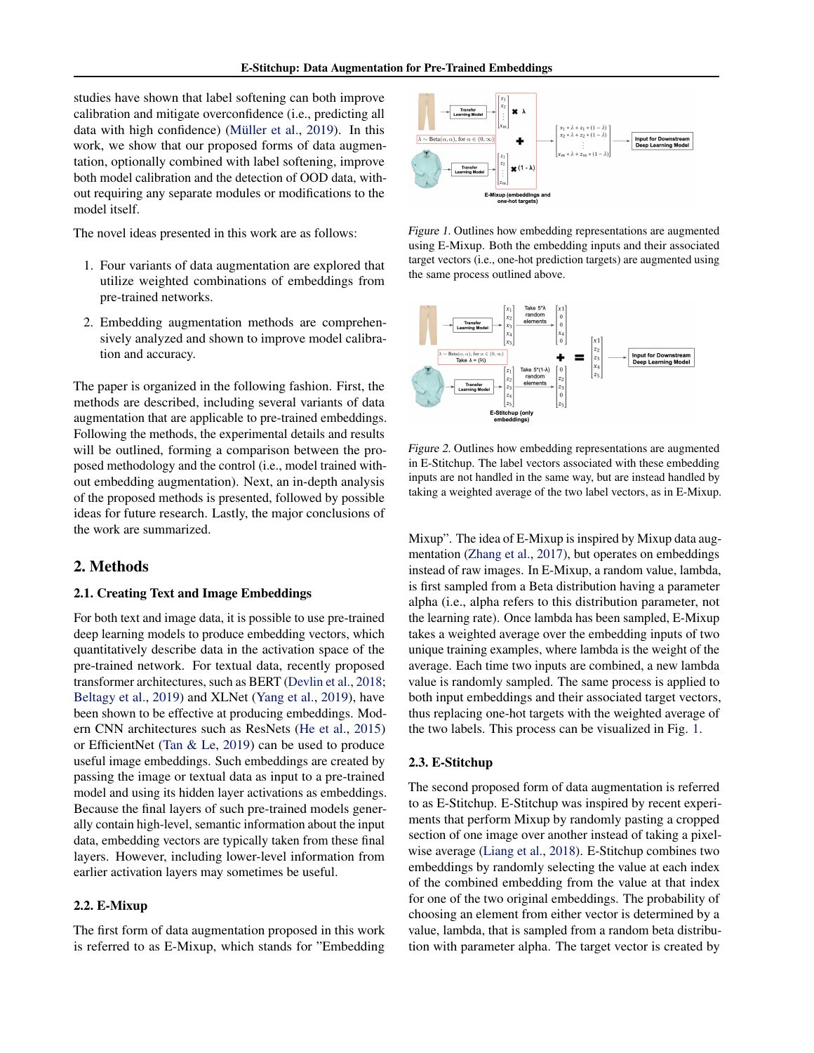<span id="page-1-0"></span>studies have shown that label softening can both improve calibration and mitigate overconfidence (i.e., predicting all data with high confidence) (Müller et al., [2019\)](#page-8-0). In this work, we show that our proposed forms of data augmentation, optionally combined with label softening, improve both model calibration and the detection of OOD data, without requiring any separate modules or modifications to the model itself.

The novel ideas presented in this work are as follows:

- 1. Four variants of data augmentation are explored that utilize weighted combinations of embeddings from pre-trained networks.
- 2. Embedding augmentation methods are comprehensively analyzed and shown to improve model calibration and accuracy.

The paper is organized in the following fashion. First, the methods are described, including several variants of data augmentation that are applicable to pre-trained embeddings. Following the methods, the experimental details and results will be outlined, forming a comparison between the proposed methodology and the control (i.e., model trained without embedding augmentation). Next, an in-depth analysis of the proposed methods is presented, followed by possible ideas for future research. Lastly, the major conclusions of the work are summarized.

#### 2. Methods

## 2.1. Creating Text and Image Embeddings

For both text and image data, it is possible to use pre-trained deep learning models to produce embedding vectors, which quantitatively describe data in the activation space of the pre-trained network. For textual data, recently proposed transformer architectures, such as BERT [\(Devlin et al.,](#page-8-0) [2018;](#page-8-0) [Beltagy et al.,](#page-8-0) [2019\)](#page-8-0) and XLNet [\(Yang et al.,](#page-9-0) [2019\)](#page-9-0), have been shown to be effective at producing embeddings. Modern CNN architectures such as ResNets [\(He et al.,](#page-8-0) [2015\)](#page-8-0) or EfficientNet [\(Tan & Le,](#page-8-0) [2019\)](#page-8-0) can be used to produce useful image embeddings. Such embeddings are created by passing the image or textual data as input to a pre-trained model and using its hidden layer activations as embeddings. Because the final layers of such pre-trained models generally contain high-level, semantic information about the input data, embedding vectors are typically taken from these final layers. However, including lower-level information from earlier activation layers may sometimes be useful.

## 2.2. E-Mixup

The first form of data augmentation proposed in this work is referred to as E-Mixup, which stands for "Embedding



Figure 1. Outlines how embedding representations are augmented using E-Mixup. Both the embedding inputs and their associated target vectors (i.e., one-hot prediction targets) are augmented using the same process outlined above.



Figure 2. Outlines how embedding representations are augmented in E-Stitchup. The label vectors associated with these embedding inputs are not handled in the same way, but are instead handled by taking a weighted average of the two label vectors, as in E-Mixup.

Mixup". The idea of E-Mixup is inspired by Mixup data augmentation [\(Zhang et al.,](#page-9-0) [2017\)](#page-9-0), but operates on embeddings instead of raw images. In E-Mixup, a random value, lambda, is first sampled from a Beta distribution having a parameter alpha (i.e., alpha refers to this distribution parameter, not the learning rate). Once lambda has been sampled, E-Mixup takes a weighted average over the embedding inputs of two unique training examples, where lambda is the weight of the average. Each time two inputs are combined, a new lambda value is randomly sampled. The same process is applied to both input embeddings and their associated target vectors, thus replacing one-hot targets with the weighted average of the two labels. This process can be visualized in Fig. 1.

#### 2.3. E-Stitchup

The second proposed form of data augmentation is referred to as E-Stitchup. E-Stitchup was inspired by recent experiments that perform Mixup by randomly pasting a cropped section of one image over another instead of taking a pixelwise average [\(Liang et al.,](#page-8-0) [2018\)](#page-8-0). E-Stitchup combines two embeddings by randomly selecting the value at each index of the combined embedding from the value at that index for one of the two original embeddings. The probability of choosing an element from either vector is determined by a value, lambda, that is sampled from a random beta distribution with parameter alpha. The target vector is created by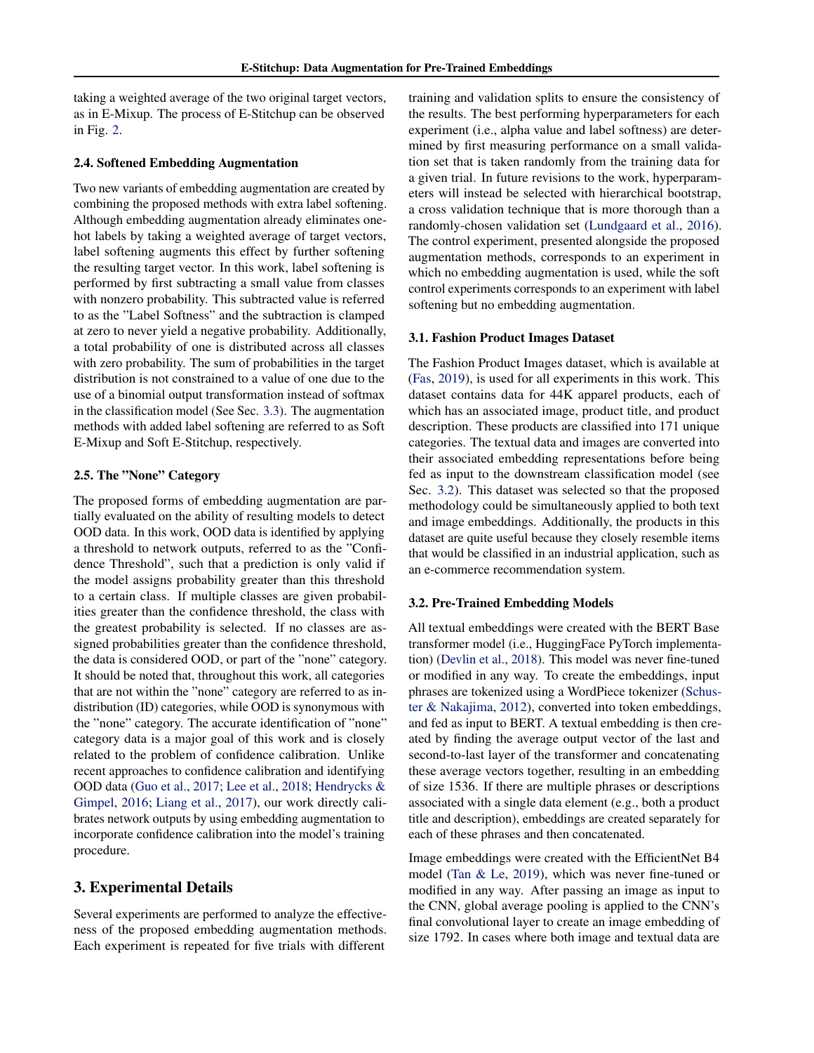<span id="page-2-0"></span>taking a weighted average of the two original target vectors, as in E-Mixup. The process of E-Stitchup can be observed in Fig. [2.](#page-1-0)

#### 2.4. Softened Embedding Augmentation

Two new variants of embedding augmentation are created by combining the proposed methods with extra label softening. Although embedding augmentation already eliminates onehot labels by taking a weighted average of target vectors, label softening augments this effect by further softening the resulting target vector. In this work, label softening is performed by first subtracting a small value from classes with nonzero probability. This subtracted value is referred to as the "Label Softness" and the subtraction is clamped at zero to never yield a negative probability. Additionally, a total probability of one is distributed across all classes with zero probability. The sum of probabilities in the target distribution is not constrained to a value of one due to the use of a binomial output transformation instead of softmax in the classification model (See Sec. [3.3\)](#page-3-0). The augmentation methods with added label softening are referred to as Soft E-Mixup and Soft E-Stitchup, respectively.

## 2.5. The "None" Category

The proposed forms of embedding augmentation are partially evaluated on the ability of resulting models to detect OOD data. In this work, OOD data is identified by applying a threshold to network outputs, referred to as the "Confidence Threshold", such that a prediction is only valid if the model assigns probability greater than this threshold to a certain class. If multiple classes are given probabilities greater than the confidence threshold, the class with the greatest probability is selected. If no classes are assigned probabilities greater than the confidence threshold, the data is considered OOD, or part of the "none" category. It should be noted that, throughout this work, all categories that are not within the "none" category are referred to as indistribution (ID) categories, while OOD is synonymous with the "none" category. The accurate identification of "none" category data is a major goal of this work and is closely related to the problem of confidence calibration. Unlike recent approaches to confidence calibration and identifying OOD data [\(Guo et al.,](#page-8-0) [2017;](#page-8-0) [Lee et al.,](#page-8-0) [2018;](#page-8-0) [Hendrycks &](#page-8-0) [Gimpel,](#page-8-0) [2016;](#page-8-0) [Liang et al.,](#page-8-0) [2017\)](#page-8-0), our work directly calibrates network outputs by using embedding augmentation to incorporate confidence calibration into the model's training procedure.

# 3. Experimental Details

Several experiments are performed to analyze the effectiveness of the proposed embedding augmentation methods. Each experiment is repeated for five trials with different training and validation splits to ensure the consistency of the results. The best performing hyperparameters for each experiment (i.e., alpha value and label softness) are determined by first measuring performance on a small validation set that is taken randomly from the training data for a given trial. In future revisions to the work, hyperparameters will instead be selected with hierarchical bootstrap, a cross validation technique that is more thorough than a randomly-chosen validation set [\(Lundgaard et al.,](#page-8-0) [2016\)](#page-8-0). The control experiment, presented alongside the proposed augmentation methods, corresponds to an experiment in which no embedding augmentation is used, while the soft control experiments corresponds to an experiment with label softening but no embedding augmentation.

#### 3.1. Fashion Product Images Dataset

The Fashion Product Images dataset, which is available at [\(Fas,](#page-8-0) [2019\)](#page-8-0), is used for all experiments in this work. This dataset contains data for 44K apparel products, each of which has an associated image, product title, and product description. These products are classified into 171 unique categories. The textual data and images are converted into their associated embedding representations before being fed as input to the downstream classification model (see Sec. 3.2). This dataset was selected so that the proposed methodology could be simultaneously applied to both text and image embeddings. Additionally, the products in this dataset are quite useful because they closely resemble items that would be classified in an industrial application, such as an e-commerce recommendation system.

#### 3.2. Pre-Trained Embedding Models

All textual embeddings were created with the BERT Base transformer model (i.e., HuggingFace PyTorch implementation) [\(Devlin et al.,](#page-8-0) [2018\)](#page-8-0). This model was never fine-tuned or modified in any way. To create the embeddings, input phrases are tokenized using a WordPiece tokenizer [\(Schus](#page-8-0)[ter & Nakajima,](#page-8-0) [2012\)](#page-8-0), converted into token embeddings, and fed as input to BERT. A textual embedding is then created by finding the average output vector of the last and second-to-last layer of the transformer and concatenating these average vectors together, resulting in an embedding of size 1536. If there are multiple phrases or descriptions associated with a single data element (e.g., both a product title and description), embeddings are created separately for each of these phrases and then concatenated.

Image embeddings were created with the EfficientNet B4 model [\(Tan & Le,](#page-8-0) [2019\)](#page-8-0), which was never fine-tuned or modified in any way. After passing an image as input to the CNN, global average pooling is applied to the CNN's final convolutional layer to create an image embedding of size 1792. In cases where both image and textual data are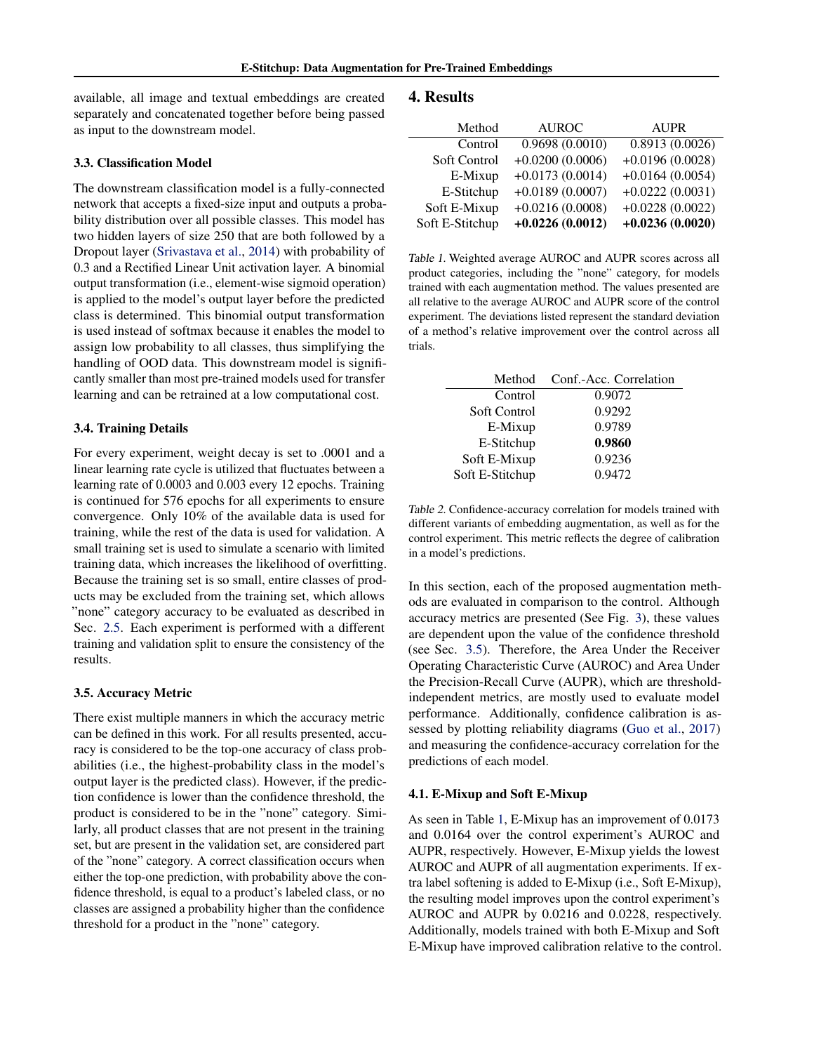<span id="page-3-0"></span>available, all image and textual embeddings are created separately and concatenated together before being passed as input to the downstream model.

#### 3.3. Classification Model

The downstream classification model is a fully-connected network that accepts a fixed-size input and outputs a probability distribution over all possible classes. This model has two hidden layers of size 250 that are both followed by a Dropout layer [\(Srivastava et al.,](#page-8-0) [2014\)](#page-8-0) with probability of 0.3 and a Rectified Linear Unit activation layer. A binomial output transformation (i.e., element-wise sigmoid operation) is applied to the model's output layer before the predicted class is determined. This binomial output transformation is used instead of softmax because it enables the model to assign low probability to all classes, thus simplifying the handling of OOD data. This downstream model is significantly smaller than most pre-trained models used for transfer learning and can be retrained at a low computational cost.

#### 3.4. Training Details

For every experiment, weight decay is set to .0001 and a linear learning rate cycle is utilized that fluctuates between a learning rate of 0.0003 and 0.003 every 12 epochs. Training is continued for 576 epochs for all experiments to ensure convergence. Only 10% of the available data is used for training, while the rest of the data is used for validation. A small training set is used to simulate a scenario with limited training data, which increases the likelihood of overfitting. Because the training set is so small, entire classes of products may be excluded from the training set, which allows "none" category accuracy to be evaluated as described in Sec. [2.5.](#page-2-0) Each experiment is performed with a different training and validation split to ensure the consistency of the results.

#### 3.5. Accuracy Metric

There exist multiple manners in which the accuracy metric can be defined in this work. For all results presented, accuracy is considered to be the top-one accuracy of class probabilities (i.e., the highest-probability class in the model's output layer is the predicted class). However, if the prediction confidence is lower than the confidence threshold, the product is considered to be in the "none" category. Similarly, all product classes that are not present in the training set, but are present in the validation set, are considered part of the "none" category. A correct classification occurs when either the top-one prediction, with probability above the confidence threshold, is equal to a product's labeled class, or no classes are assigned a probability higher than the confidence threshold for a product in the "none" category.

# 4. Results

| Method          | <b>AUROC</b>      | <b>AUPR</b>       |  |
|-----------------|-------------------|-------------------|--|
| Control         | 0.9698(0.0010)    | 0.8913(0.0026)    |  |
| Soft Control    | $+0.0200(0.0006)$ | $+0.0196(0.0028)$ |  |
| E-Mixup         | $+0.0173(0.0014)$ | $+0.0164(0.0054)$ |  |
| E-Stitchup      | $+0.0189(0.0007)$ | $+0.0222(0.0031)$ |  |
| Soft E-Mixup    | $+0.0216(0.0008)$ | $+0.0228(0.0022)$ |  |
| Soft E-Stitchup | $+0.0226(0.0012)$ | $+0.0236(0.0020)$ |  |

Table 1. Weighted average AUROC and AUPR scores across all product categories, including the "none" category, for models trained with each augmentation method. The values presented are all relative to the average AUROC and AUPR score of the control experiment. The deviations listed represent the standard deviation of a method's relative improvement over the control across all trials.

| Method          | Conf.-Acc. Correlation |
|-----------------|------------------------|
| Control         | 0.9072                 |
| Soft Control    | 0.9292                 |
| E-Mixup         | 0.9789                 |
| E-Stitchup      | 0.9860                 |
| Soft E-Mixup    | 0.9236                 |
| Soft E-Stitchup | 0.9472                 |

Table 2. Confidence-accuracy correlation for models trained with different variants of embedding augmentation, as well as for the control experiment. This metric reflects the degree of calibration in a model's predictions.

In this section, each of the proposed augmentation methods are evaluated in comparison to the control. Although accuracy metrics are presented (See Fig. [3\)](#page-4-0), these values are dependent upon the value of the confidence threshold (see Sec. 3.5). Therefore, the Area Under the Receiver Operating Characteristic Curve (AUROC) and Area Under the Precision-Recall Curve (AUPR), which are thresholdindependent metrics, are mostly used to evaluate model performance. Additionally, confidence calibration is assessed by plotting reliability diagrams [\(Guo et al.,](#page-8-0) [2017\)](#page-8-0) and measuring the confidence-accuracy correlation for the predictions of each model.

#### 4.1. E-Mixup and Soft E-Mixup

As seen in Table 1, E-Mixup has an improvement of 0.0173 and 0.0164 over the control experiment's AUROC and AUPR, respectively. However, E-Mixup yields the lowest AUROC and AUPR of all augmentation experiments. If extra label softening is added to E-Mixup (i.e., Soft E-Mixup), the resulting model improves upon the control experiment's AUROC and AUPR by 0.0216 and 0.0228, respectively. Additionally, models trained with both E-Mixup and Soft E-Mixup have improved calibration relative to the control.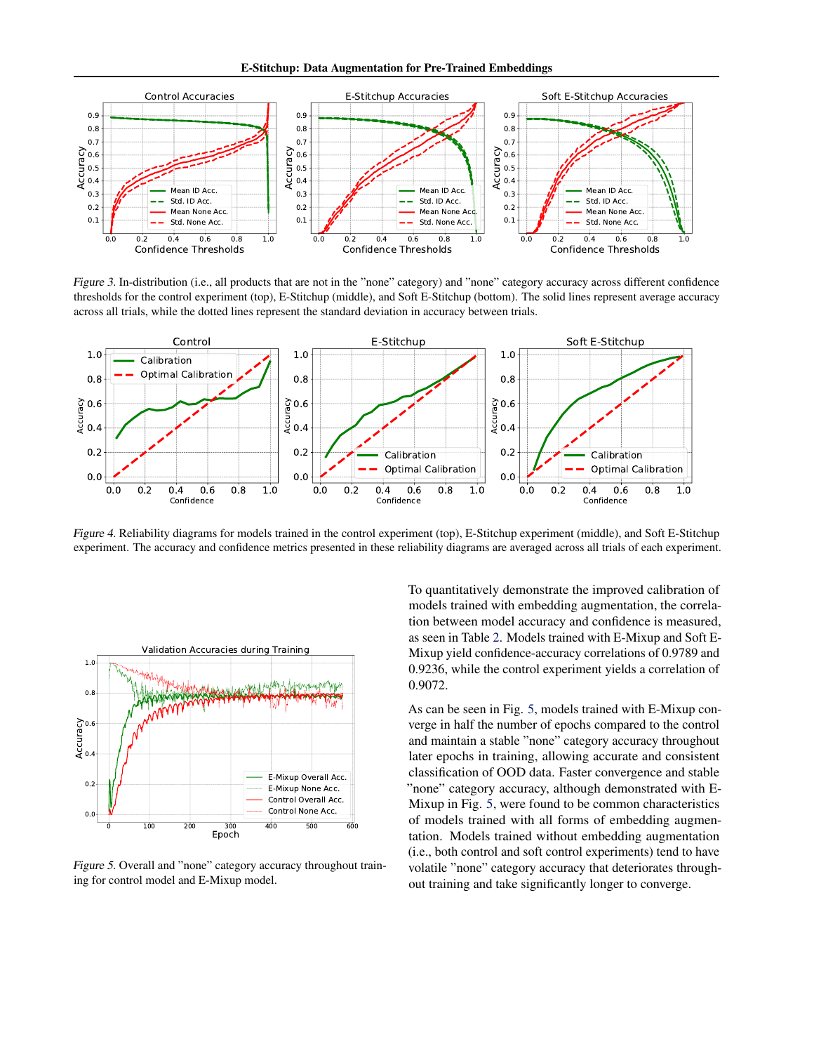E-Stitchup: Data Augmentation for Pre-Trained Embeddings

<span id="page-4-0"></span>

Figure 3. In-distribution (i.e., all products that are not in the "none" category) and "none" category accuracy across different confidence thresholds for the control experiment (top), E-Stitchup (middle), and Soft E-Stitchup (bottom). The solid lines represent average accuracy across all trials, while the dotted lines represent the standard deviation in accuracy between trials.



Figure 4. Reliability diagrams for models trained in the control experiment (top), E-Stitchup experiment (middle), and Soft E-Stitchup experiment. The accuracy and confidence metrics presented in these reliability diagrams are averaged across all trials of each experiment.



Figure 5. Overall and "none" category accuracy throughout training for control model and E-Mixup model.

To quantitatively demonstrate the improved calibration of models trained with embedding augmentation, the correlation between model accuracy and confidence is measured, as seen in Table [2.](#page-3-0) Models trained with E-Mixup and Soft E-Mixup yield confidence-accuracy correlations of 0.9789 and 0.9236, while the control experiment yields a correlation of 0.9072.

As can be seen in Fig. 5, models trained with E-Mixup converge in half the number of epochs compared to the control and maintain a stable "none" category accuracy throughout later epochs in training, allowing accurate and consistent classification of OOD data. Faster convergence and stable "none" category accuracy, although demonstrated with E-Mixup in Fig. 5, were found to be common characteristics of models trained with all forms of embedding augmentation. Models trained without embedding augmentation (i.e., both control and soft control experiments) tend to have volatile "none" category accuracy that deteriorates throughout training and take significantly longer to converge.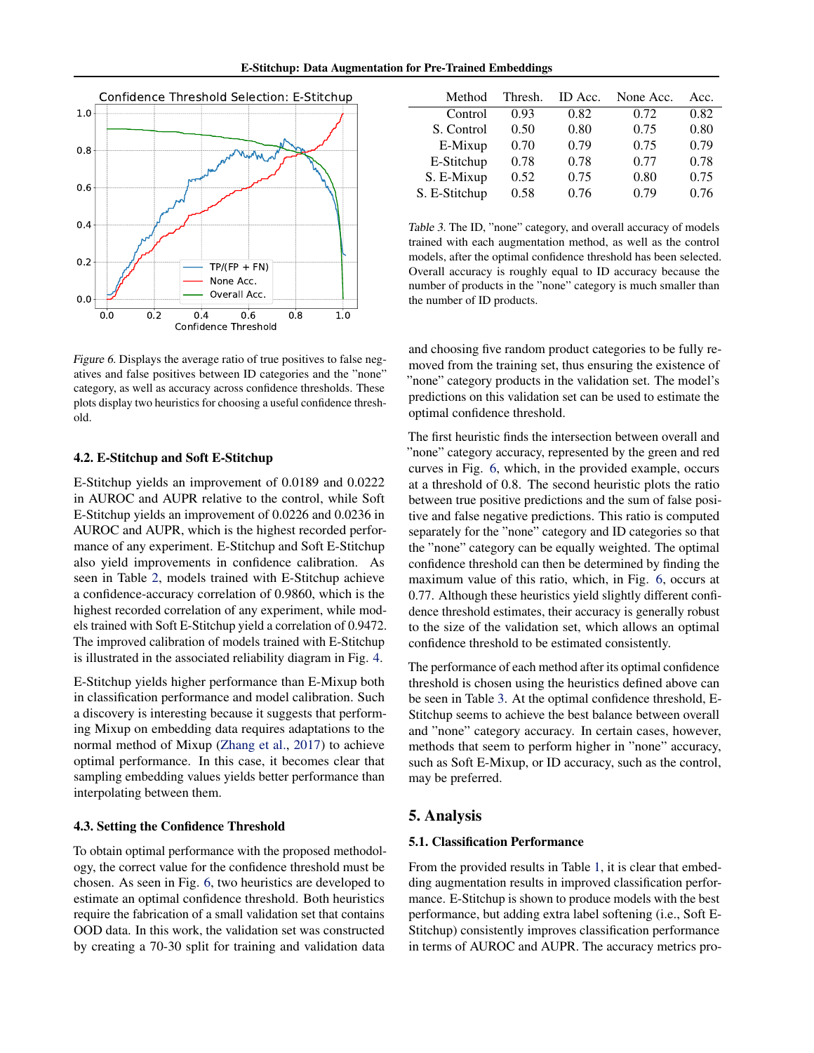<span id="page-5-0"></span>

Figure 6. Displays the average ratio of true positives to false negatives and false positives between ID categories and the "none" category, as well as accuracy across confidence thresholds. These plots display two heuristics for choosing a useful confidence threshold.

#### 4.2. E-Stitchup and Soft E-Stitchup

E-Stitchup yields an improvement of 0.0189 and 0.0222 in AUROC and AUPR relative to the control, while Soft E-Stitchup yields an improvement of 0.0226 and 0.0236 in AUROC and AUPR, which is the highest recorded performance of any experiment. E-Stitchup and Soft E-Stitchup also yield improvements in confidence calibration. As seen in Table [2,](#page-3-0) models trained with E-Stitchup achieve a confidence-accuracy correlation of 0.9860, which is the highest recorded correlation of any experiment, while models trained with Soft E-Stitchup yield a correlation of 0.9472. The improved calibration of models trained with E-Stitchup is illustrated in the associated reliability diagram in Fig. [4.](#page-4-0)

E-Stitchup yields higher performance than E-Mixup both in classification performance and model calibration. Such a discovery is interesting because it suggests that performing Mixup on embedding data requires adaptations to the normal method of Mixup [\(Zhang et al.,](#page-9-0) [2017\)](#page-9-0) to achieve optimal performance. In this case, it becomes clear that sampling embedding values yields better performance than interpolating between them.

## 4.3. Setting the Confidence Threshold

To obtain optimal performance with the proposed methodology, the correct value for the confidence threshold must be chosen. As seen in Fig. 6, two heuristics are developed to estimate an optimal confidence threshold. Both heuristics require the fabrication of a small validation set that contains OOD data. In this work, the validation set was constructed by creating a 70-30 split for training and validation data

| Method        | Thresh. | ID Acc. | None Acc. | Acc. |
|---------------|---------|---------|-----------|------|
| Control       | 0.93    | 0.82    | 0.72      | 0.82 |
| S. Control    | 0.50    | 0.80    | 0.75      | 0.80 |
| E-Mixup       | 0.70    | 0.79    | 0.75      | 0.79 |
| E-Stitchup    | 0.78    | 0.78    | 0.77      | 0.78 |
| S. E-Mixup    | 0.52    | 0.75    | 0.80      | 0.75 |
| S. E-Stitchup | 0.58    | 0.76    | 0.79      | 0.76 |

Table 3. The ID, "none" category, and overall accuracy of models trained with each augmentation method, as well as the control models, after the optimal confidence threshold has been selected. Overall accuracy is roughly equal to ID accuracy because the number of products in the "none" category is much smaller than the number of ID products.

and choosing five random product categories to be fully removed from the training set, thus ensuring the existence of "none" category products in the validation set. The model's predictions on this validation set can be used to estimate the optimal confidence threshold.

The first heuristic finds the intersection between overall and "none" category accuracy, represented by the green and red curves in Fig. 6, which, in the provided example, occurs at a threshold of 0.8. The second heuristic plots the ratio between true positive predictions and the sum of false positive and false negative predictions. This ratio is computed separately for the "none" category and ID categories so that the "none" category can be equally weighted. The optimal confidence threshold can then be determined by finding the maximum value of this ratio, which, in Fig. 6, occurs at 0.77. Although these heuristics yield slightly different confidence threshold estimates, their accuracy is generally robust to the size of the validation set, which allows an optimal confidence threshold to be estimated consistently.

The performance of each method after its optimal confidence threshold is chosen using the heuristics defined above can be seen in Table 3. At the optimal confidence threshold, E-Stitchup seems to achieve the best balance between overall and "none" category accuracy. In certain cases, however, methods that seem to perform higher in "none" accuracy, such as Soft E-Mixup, or ID accuracy, such as the control, may be preferred.

# 5. Analysis

#### 5.1. Classification Performance

From the provided results in Table [1,](#page-3-0) it is clear that embedding augmentation results in improved classification performance. E-Stitchup is shown to produce models with the best performance, but adding extra label softening (i.e., Soft E-Stitchup) consistently improves classification performance in terms of AUROC and AUPR. The accuracy metrics pro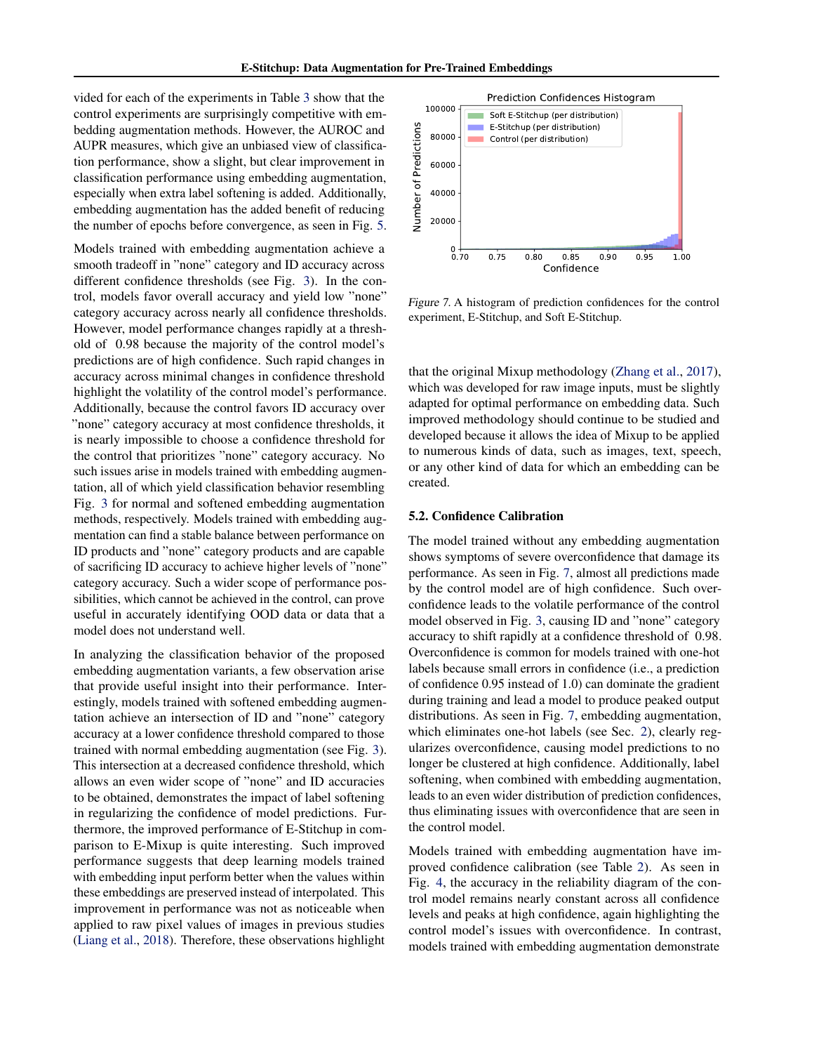vided for each of the experiments in Table [3](#page-5-0) show that the control experiments are surprisingly competitive with embedding augmentation methods. However, the AUROC and AUPR measures, which give an unbiased view of classification performance, show a slight, but clear improvement in classification performance using embedding augmentation, especially when extra label softening is added. Additionally, embedding augmentation has the added benefit of reducing the number of epochs before convergence, as seen in Fig. [5.](#page-4-0)

Models trained with embedding augmentation achieve a smooth tradeoff in "none" category and ID accuracy across different confidence thresholds (see Fig. [3\)](#page-4-0). In the control, models favor overall accuracy and yield low "none" category accuracy across nearly all confidence thresholds. However, model performance changes rapidly at a threshold of 0.98 because the majority of the control model's predictions are of high confidence. Such rapid changes in accuracy across minimal changes in confidence threshold highlight the volatility of the control model's performance. Additionally, because the control favors ID accuracy over "none" category accuracy at most confidence thresholds, it is nearly impossible to choose a confidence threshold for the control that prioritizes "none" category accuracy. No such issues arise in models trained with embedding augmentation, all of which yield classification behavior resembling Fig. [3](#page-4-0) for normal and softened embedding augmentation methods, respectively. Models trained with embedding augmentation can find a stable balance between performance on ID products and "none" category products and are capable of sacrificing ID accuracy to achieve higher levels of "none" category accuracy. Such a wider scope of performance possibilities, which cannot be achieved in the control, can prove useful in accurately identifying OOD data or data that a model does not understand well.

In analyzing the classification behavior of the proposed embedding augmentation variants, a few observation arise that provide useful insight into their performance. Interestingly, models trained with softened embedding augmentation achieve an intersection of ID and "none" category accuracy at a lower confidence threshold compared to those trained with normal embedding augmentation (see Fig. [3\)](#page-4-0). This intersection at a decreased confidence threshold, which allows an even wider scope of "none" and ID accuracies to be obtained, demonstrates the impact of label softening in regularizing the confidence of model predictions. Furthermore, the improved performance of E-Stitchup in comparison to E-Mixup is quite interesting. Such improved performance suggests that deep learning models trained with embedding input perform better when the values within these embeddings are preserved instead of interpolated. This improvement in performance was not as noticeable when applied to raw pixel values of images in previous studies [\(Liang et al.,](#page-8-0) [2018\)](#page-8-0). Therefore, these observations highlight



Figure 7. A histogram of prediction confidences for the control experiment, E-Stitchup, and Soft E-Stitchup.

that the original Mixup methodology [\(Zhang et al.,](#page-9-0) [2017\)](#page-9-0), which was developed for raw image inputs, must be slightly adapted for optimal performance on embedding data. Such improved methodology should continue to be studied and developed because it allows the idea of Mixup to be applied to numerous kinds of data, such as images, text, speech, or any other kind of data for which an embedding can be created.

#### 5.2. Confidence Calibration

The model trained without any embedding augmentation shows symptoms of severe overconfidence that damage its performance. As seen in Fig. 7, almost all predictions made by the control model are of high confidence. Such overconfidence leads to the volatile performance of the control model observed in Fig. [3,](#page-4-0) causing ID and "none" category accuracy to shift rapidly at a confidence threshold of 0.98. Overconfidence is common for models trained with one-hot labels because small errors in confidence (i.e., a prediction of confidence 0.95 instead of 1.0) can dominate the gradient during training and lead a model to produce peaked output distributions. As seen in Fig. 7, embedding augmentation, which eliminates one-hot labels (see Sec. [2\)](#page-1-0), clearly regularizes overconfidence, causing model predictions to no longer be clustered at high confidence. Additionally, label softening, when combined with embedding augmentation, leads to an even wider distribution of prediction confidences, thus eliminating issues with overconfidence that are seen in the control model.

Models trained with embedding augmentation have improved confidence calibration (see Table [2\)](#page-3-0). As seen in Fig. [4,](#page-4-0) the accuracy in the reliability diagram of the control model remains nearly constant across all confidence levels and peaks at high confidence, again highlighting the control model's issues with overconfidence. In contrast, models trained with embedding augmentation demonstrate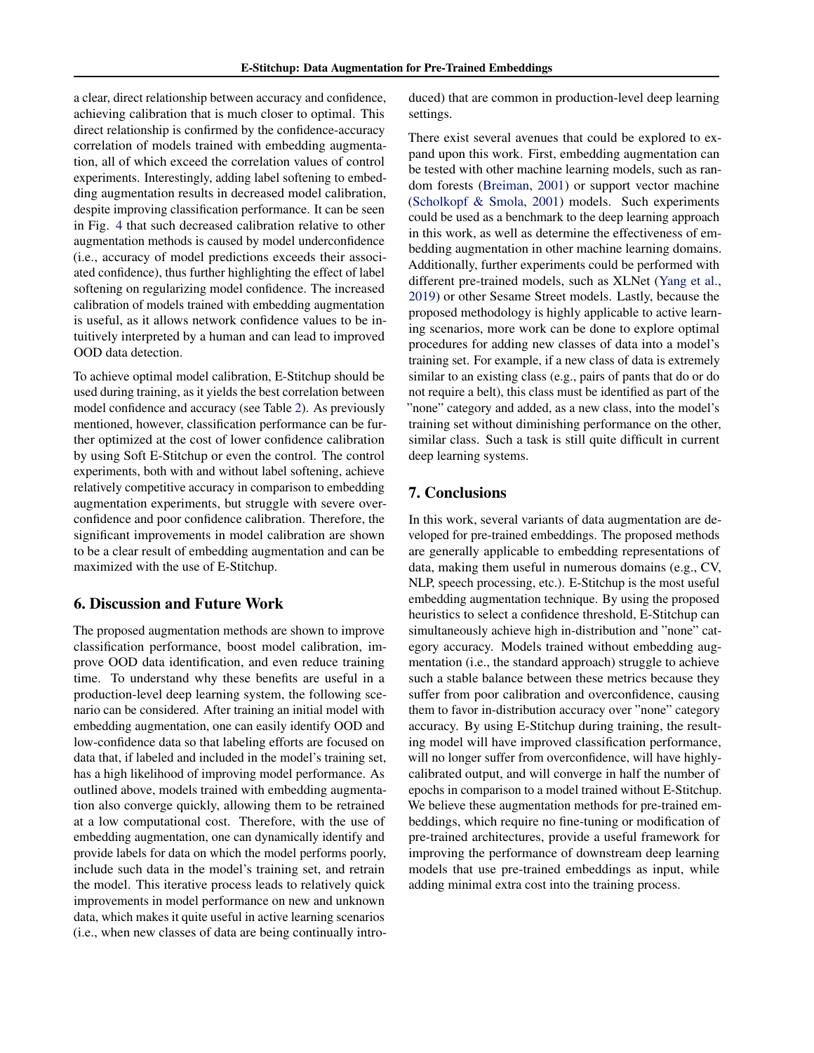a clear, direct relationship between accuracy and confidence, achieving calibration that is much closer to optimal. This direct relationship is confirmed by the confidence-accuracy correlation of models trained with embedding augmentation, all of which exceed the correlation values of control experiments. Interestingly, adding label softening to embedding augmentation results in decreased model calibration, despite improving classification performance. It can be seen in Fig. [4](#page-4-0) that such decreased calibration relative to other augmentation methods is caused by model underconfidence (i.e., accuracy of model predictions exceeds their associated confidence), thus further highlighting the effect of label softening on regularizing model confidence. The increased calibration of models trained with embedding augmentation is useful, as it allows network confidence values to be intuitively interpreted by a human and can lead to improved OOD data detection.

To achieve optimal model calibration, E-Stitchup should be used during training, as it yields the best correlation between model confidence and accuracy (see Table [2\)](#page-3-0). As previously mentioned, however, classification performance can be further optimized at the cost of lower confidence calibration by using Soft E-Stitchup or even the control. The control experiments, both with and without label softening, achieve relatively competitive accuracy in comparison to embedding augmentation experiments, but struggle with severe overconfidence and poor confidence calibration. Therefore, the significant improvements in model calibration are shown to be a clear result of embedding augmentation and can be maximized with the use of E-Stitchup.

# 6. Discussion and Future Work

The proposed augmentation methods are shown to improve classification performance, boost model calibration, improve OOD data identification, and even reduce training time. To understand why these benefits are useful in a production-level deep learning system, the following scenario can be considered. After training an initial model with embedding augmentation, one can easily identify OOD and low-confidence data so that labeling efforts are focused on data that, if labeled and included in the model's training set, has a high likelihood of improving model performance. As outlined above, models trained with embedding augmentation also converge quickly, allowing them to be retrained at a low computational cost. Therefore, with the use of embedding augmentation, one can dynamically identify and provide labels for data on which the model performs poorly, include such data in the model's training set, and retrain the model. This iterative process leads to relatively quick improvements in model performance on new and unknown data, which makes it quite useful in active learning scenarios (i.e., when new classes of data are being continually introduced) that are common in production-level deep learning settings.

There exist several avenues that could be explored to expand upon this work. First, embedding augmentation can be tested with other machine learning models, such as random forests [\(Breiman,](#page-8-0) [2001\)](#page-8-0) or support vector machine [\(Scholkopf & Smola,](#page-8-0) [2001\)](#page-8-0) models. Such experiments could be used as a benchmark to the deep learning approach in this work, as well as determine the effectiveness of embedding augmentation in other machine learning domains. Additionally, further experiments could be performed with different pre-trained models, such as XLNet [\(Yang et al.,](#page-9-0) [2019\)](#page-9-0) or other Sesame Street models. Lastly, because the proposed methodology is highly applicable to active learning scenarios, more work can be done to explore optimal procedures for adding new classes of data into a model's training set. For example, if a new class of data is extremely similar to an existing class (e.g., pairs of pants that do or do not require a belt), this class must be identified as part of the "none" category and added, as a new class, into the model's training set without diminishing performance on the other, similar class. Such a task is still quite difficult in current deep learning systems.

# 7. Conclusions

In this work, several variants of data augmentation are developed for pre-trained embeddings. The proposed methods are generally applicable to embedding representations of data, making them useful in numerous domains (e.g., CV, NLP, speech processing, etc.). E-Stitchup is the most useful embedding augmentation technique. By using the proposed heuristics to select a confidence threshold, E-Stitchup can simultaneously achieve high in-distribution and "none" category accuracy. Models trained without embedding augmentation (i.e., the standard approach) struggle to achieve such a stable balance between these metrics because they suffer from poor calibration and overconfidence, causing them to favor in-distribution accuracy over "none" category accuracy. By using E-Stitchup during training, the resulting model will have improved classification performance, will no longer suffer from overconfidence, will have highlycalibrated output, and will converge in half the number of epochs in comparison to a model trained without E-Stitchup. We believe these augmentation methods for pre-trained embeddings, which require no fine-tuning or modification of pre-trained architectures, provide a useful framework for improving the performance of downstream deep learning models that use pre-trained embeddings as input, while adding minimal extra cost into the training process.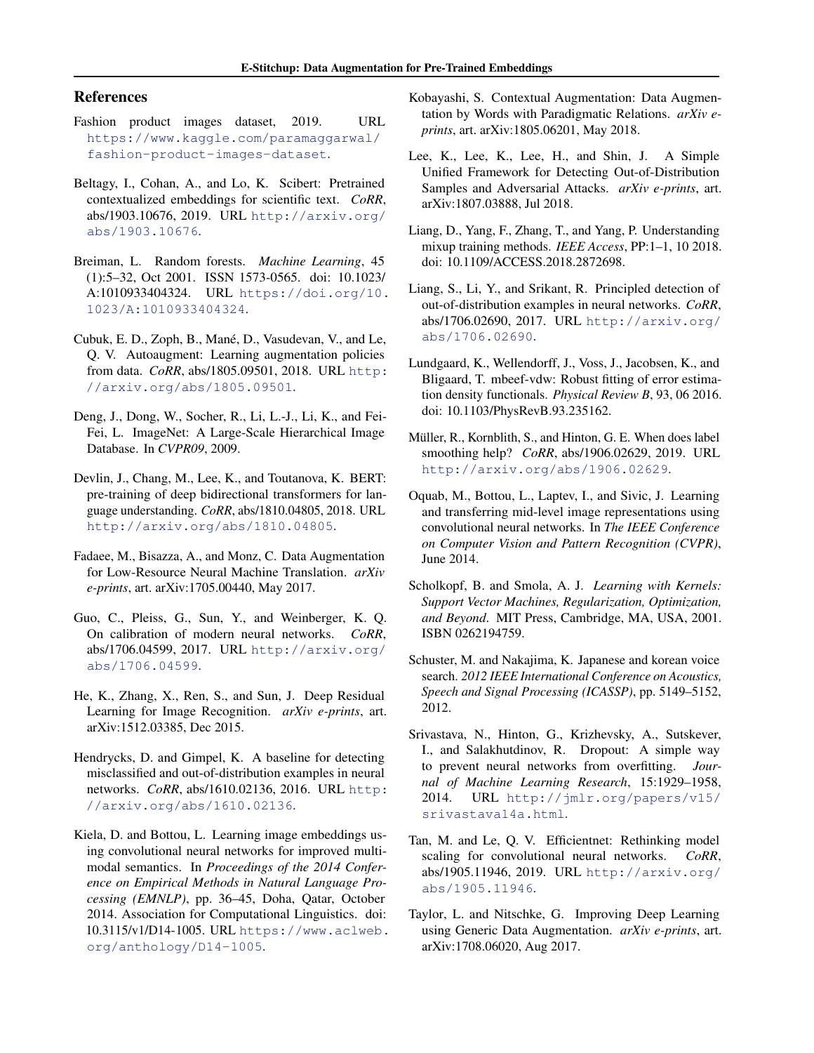# <span id="page-8-0"></span>References

- Fashion product images dataset, 2019. URL [https://www.kaggle.com/paramaggarwal/](https://www.kaggle.com/paramaggarwal/fashion-product-images-dataset) [fashion-product-images-dataset](https://www.kaggle.com/paramaggarwal/fashion-product-images-dataset).
- Beltagy, I., Cohan, A., and Lo, K. Scibert: Pretrained contextualized embeddings for scientific text. *CoRR*, abs/1903.10676, 2019. URL [http://arxiv.org/](http://arxiv.org/abs/1903.10676) [abs/1903.10676](http://arxiv.org/abs/1903.10676).
- Breiman, L. Random forests. *Machine Learning*, 45 (1):5–32, Oct 2001. ISSN 1573-0565. doi: 10.1023/ A:1010933404324. URL [https://doi.org/10.](https://doi.org/10.1023/A:1010933404324) [1023/A:1010933404324](https://doi.org/10.1023/A:1010933404324).
- Cubuk, E. D., Zoph, B., Mané, D., Vasudevan, V., and Le, Q. V. Autoaugment: Learning augmentation policies from data. *CoRR*, abs/1805.09501, 2018. URL [http:](http://arxiv.org/abs/1805.09501) [//arxiv.org/abs/1805.09501](http://arxiv.org/abs/1805.09501).
- Deng, J., Dong, W., Socher, R., Li, L.-J., Li, K., and Fei-Fei, L. ImageNet: A Large-Scale Hierarchical Image Database. In *CVPR09*, 2009.
- Devlin, J., Chang, M., Lee, K., and Toutanova, K. BERT: pre-training of deep bidirectional transformers for language understanding. *CoRR*, abs/1810.04805, 2018. URL <http://arxiv.org/abs/1810.04805>.
- Fadaee, M., Bisazza, A., and Monz, C. Data Augmentation for Low-Resource Neural Machine Translation. *arXiv e-prints*, art. arXiv:1705.00440, May 2017.
- Guo, C., Pleiss, G., Sun, Y., and Weinberger, K. Q. On calibration of modern neural networks. *CoRR*, abs/1706.04599, 2017. URL [http://arxiv.org/](http://arxiv.org/abs/1706.04599) [abs/1706.04599](http://arxiv.org/abs/1706.04599).
- He, K., Zhang, X., Ren, S., and Sun, J. Deep Residual Learning for Image Recognition. *arXiv e-prints*, art. arXiv:1512.03385, Dec 2015.
- Hendrycks, D. and Gimpel, K. A baseline for detecting misclassified and out-of-distribution examples in neural networks. *CoRR*, abs/1610.02136, 2016. URL [http:](http://arxiv.org/abs/1610.02136) [//arxiv.org/abs/1610.02136](http://arxiv.org/abs/1610.02136).
- Kiela, D. and Bottou, L. Learning image embeddings using convolutional neural networks for improved multimodal semantics. In *Proceedings of the 2014 Conference on Empirical Methods in Natural Language Processing (EMNLP)*, pp. 36–45, Doha, Qatar, October 2014. Association for Computational Linguistics. doi: 10.3115/v1/D14-1005. URL [https://www.aclweb.](https://www.aclweb.org/anthology/D14-1005) [org/anthology/D14-1005](https://www.aclweb.org/anthology/D14-1005).
- Kobayashi, S. Contextual Augmentation: Data Augmentation by Words with Paradigmatic Relations. *arXiv eprints*, art. arXiv:1805.06201, May 2018.
- Lee, K., Lee, K., Lee, H., and Shin, J. A Simple Unified Framework for Detecting Out-of-Distribution Samples and Adversarial Attacks. *arXiv e-prints*, art. arXiv:1807.03888, Jul 2018.
- Liang, D., Yang, F., Zhang, T., and Yang, P. Understanding mixup training methods. *IEEE Access*, PP:1–1, 10 2018. doi: 10.1109/ACCESS.2018.2872698.
- Liang, S., Li, Y., and Srikant, R. Principled detection of out-of-distribution examples in neural networks. *CoRR*, abs/1706.02690, 2017. URL [http://arxiv.org/](http://arxiv.org/abs/1706.02690) [abs/1706.02690](http://arxiv.org/abs/1706.02690).
- Lundgaard, K., Wellendorff, J., Voss, J., Jacobsen, K., and Bligaard, T. mbeef-vdw: Robust fitting of error estimation density functionals. *Physical Review B*, 93, 06 2016. doi: 10.1103/PhysRevB.93.235162.
- Müller, R., Kornblith, S., and Hinton, G. E. When does label smoothing help? *CoRR*, abs/1906.02629, 2019. URL <http://arxiv.org/abs/1906.02629>.
- Oquab, M., Bottou, L., Laptev, I., and Sivic, J. Learning and transferring mid-level image representations using convolutional neural networks. In *The IEEE Conference on Computer Vision and Pattern Recognition (CVPR)*, June 2014.
- Scholkopf, B. and Smola, A. J. *Learning with Kernels: Support Vector Machines, Regularization, Optimization, and Beyond*. MIT Press, Cambridge, MA, USA, 2001. ISBN 0262194759.
- Schuster, M. and Nakajima, K. Japanese and korean voice search. *2012 IEEE International Conference on Acoustics, Speech and Signal Processing (ICASSP)*, pp. 5149–5152, 2012.
- Srivastava, N., Hinton, G., Krizhevsky, A., Sutskever, I., and Salakhutdinov, R. Dropout: A simple way to prevent neural networks from overfitting. *Journal of Machine Learning Research*, 15:1929–1958, 2014. URL [http://jmlr.org/papers/v15/](http://jmlr.org/papers/v15/srivastava14a.html) [srivastava14a.html](http://jmlr.org/papers/v15/srivastava14a.html).
- Tan, M. and Le, Q. V. Efficientnet: Rethinking model scaling for convolutional neural networks. *CoRR*, abs/1905.11946, 2019. URL [http://arxiv.org/](http://arxiv.org/abs/1905.11946) [abs/1905.11946](http://arxiv.org/abs/1905.11946).
- Taylor, L. and Nitschke, G. Improving Deep Learning using Generic Data Augmentation. *arXiv e-prints*, art. arXiv:1708.06020, Aug 2017.